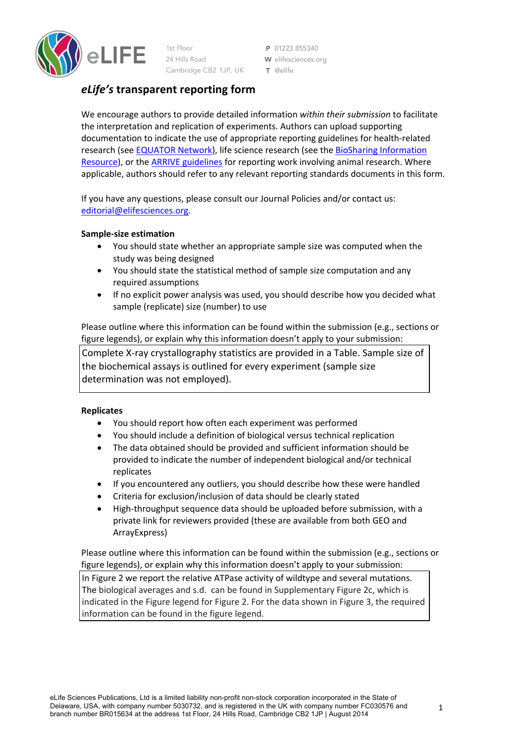

1st Floor 24 Hills Road Cambridge CB2 1JP, UK

P 01223 855340 W elifesciences.org T @elife

# *eLife's* **transparent reporting form**

We encourage authors to provide detailed information *within their submission* to facilitate the interpretation and replication of experiments. Authors can upload supporting documentation to indicate the use of appropriate reporting guidelines for health-related research (see EQUATOR Network), life science research (see the BioSharing Information Resource), or the ARRIVE guidelines for reporting work involving animal research. Where applicable, authors should refer to any relevant reporting standards documents in this form.

If you have any questions, please consult our Journal Policies and/or contact us: editorial@elifesciences.org.

### **Sample-size estimation**

- You should state whether an appropriate sample size was computed when the study was being designed
- You should state the statistical method of sample size computation and any required assumptions
- If no explicit power analysis was used, you should describe how you decided what sample (replicate) size (number) to use

Please outline where this information can be found within the submission (e.g., sections or figure legends), or explain why this information doesn't apply to your submission:

Complete X-ray crystallography statistics are provided in a Table. Sample size of the biochemical assays is outlined for every experiment (sample size determination was not employed).

### **Replicates**

- You should report how often each experiment was performed
- You should include a definition of biological versus technical replication
- The data obtained should be provided and sufficient information should be provided to indicate the number of independent biological and/or technical replicates
- If you encountered any outliers, you should describe how these were handled
- Criteria for exclusion/inclusion of data should be clearly stated
- High-throughput sequence data should be uploaded before submission, with a private link for reviewers provided (these are available from both GEO and ArrayExpress)

Please outline where this information can be found within the submission (e.g., sections or figure legends), or explain why this information doesn't apply to your submission:

In Figure 2 we report the relative ATPase activity of wildtype and several mutations. The biological averages and s.d. can be found in Supplementary Figure 2c, which is indicated in the Figure legend for Figure 2. For the data shown in Figure 3, the required information can be found in the figure legend.